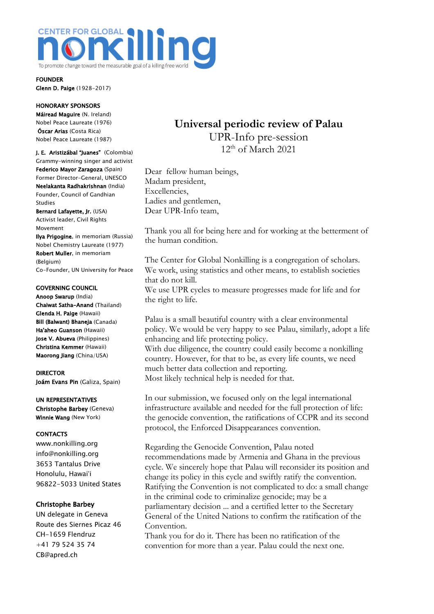

FOUNDER Glenn D. Paige (1928-2017)

## HONORARY SPONSORS

Máiread Maguire (N. Ireland) Nobel Peace Laureate (1976) Óscar Arias (Costa Rica) Nobel Peace Laureate (1987)

J. E. Aristizábal "Juanes" (Colombia) Grammy-winning singer and activist Federico Mayor Zaragoza (Spain) Former Director-General, UNESCO Neelakanta Radhakrishnan (India) Founder, Council of Gandhian Studies

Bernard Lafayette, Jr. (USA) Activist leader, Civil Rights Movement

Ilya Prigogine, in memoriam (Russia) Nobel Chemistry Laureate (1977) Robert Muller, in memoriam (Belgium) Co-Founder, UN University for Peace

#### GOVERNING COUNCIL

Anoop Swarup (India) Chaiwat Satha-Anand (Thailand) Glenda H. Paige (Hawaii) Bill (Balwant) Bhaneja (Canada) Ha'aheo Guanson (Hawaii) Jose V. Abueva (Philippines) Christina Kemmer (Hawaii) Maorong Jiang (China/USA)

DIRECTOR Joám Evans Pin (Galiza, Spain)

### UN REPRESENTATIVES

Christophe Barbey (Geneva) Winnie Wang (New York)

## **CONTACTS**

www.nonkilling.org info@nonkilling.org 3653 Tantalus Drive Honolulu, Hawai'i 96822-5033 United States

## Christophe Barbey

UN delegate in Geneva Route des Siernes Picaz 46 CH-1659 Flendruz +41 79 524 35 74 CB@apred.ch

# **Universal periodic review of Palau** UPR-Info pre-session  $12<sup>th</sup>$  of March 2021

Dear fellow human beings, Madam president, Excellencies, Ladies and gentlemen, Dear UPR-Info team,

Thank you all for being here and for working at the betterment of the human condition.

The Center for Global Nonkilling is a congregation of scholars. We work, using statistics and other means, to establish societies that do not kill.

We use UPR cycles to measure progresses made for life and for the right to life.

Palau is a small beautiful country with a clear environmental policy. We would be very happy to see Palau, similarly, adopt a life enhancing and life protecting policy.

With due diligence, the country could easily become a nonkilling country. However, for that to be, as every life counts, we need much better data collection and reporting. Most likely technical help is needed for that.

In our submission, we focused only on the legal international infrastructure available and needed for the full protection of life: the genocide convention, the ratifications of CCPR and its second protocol, the Enforced Disappearances convention.

Regarding the Genocide Convention, Palau noted recommendations made by Armenia and Ghana in the previous cycle. We sincerely hope that Palau will reconsider its position and change its policy in this cycle and swiftly ratify the convention. Ratifying the Convention is not complicated to do: a small change in the criminal code to criminalize genocide; may be a parliamentary decision ... and a certified letter to the Secretary General of the United Nations to confirm the ratification of the Convention.

Thank you for do it. There has been no ratification of the convention for more than a year. Palau could the next one.